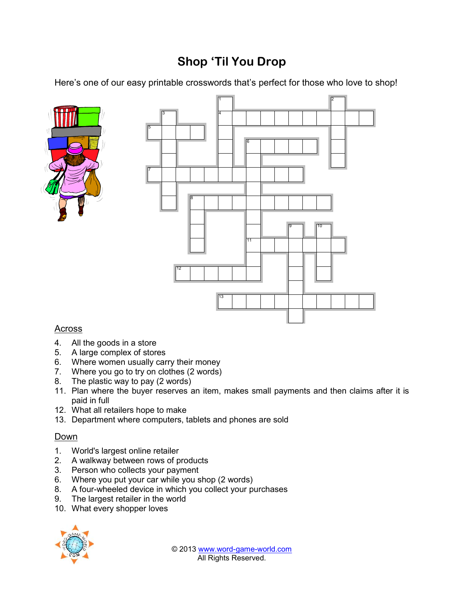## Shop Til You Drop

Here s one of our easy printabl pecrifiens to wholes et hwalt oslove to shop





## Across

- 4. All the goods in a store
- 5. A large complex of stores
- 6. Where women usually carry their money
- 7. Where you go to try (@nwoolso)thes
- 8. The plastic way to pay (2 words)
- 11. Plan where the buyer reserves an item, makes small payments ar paid in full
- 12.What all retailers hope to make
- 13.Department where computers, tablets and phones are sold

## Down

- 1. Wodl's largest online retailer
- 2. A walkway between rows of products
- 3. Person who collects your payment
- 6. Where you put your car while you shop (2 words)
- 8. A fo-wheeled device in which you collect your purchases
- 9. The largest retailer in the world
- 10.What every shopper loves

© 2103<u>www.wegradm-world.</u>com All Rights Reserved.